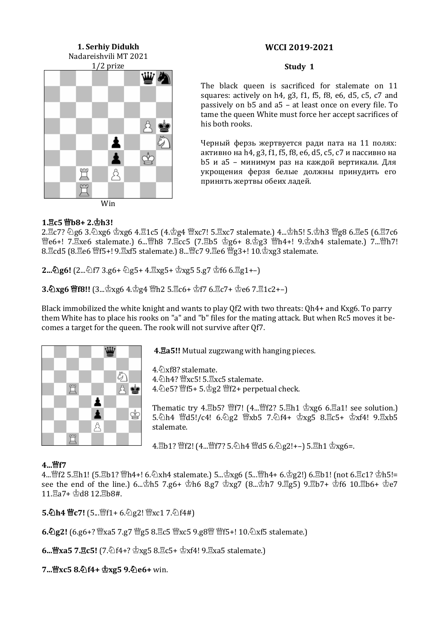# **1. Serhiy Didukh** Nadareishvili MT 2021 1/2 prize ₫ 罝 ☆ Win

#### **Study 1**

The black queen is sacrificed for stalemate on 11 squares: actively on h4, g3, f1, f5, f8, e6, d5, c5, c7 and passively on b5 and a5 – at least once on every file. To tame the queen White must force her accept sacrifices of his both rooks.

Черный ферзь жертвуется ради пата на 11 полях: активно на h4, g3, f1, f5, f8, e6, d5, c5, c7 и пассивно на b5 и a5 – минимум раз на каждой вертикали. Для укрощения ферзя белые должны принудить его принять жертвы обеих ладей.

#### **1.c5 b8+ 2.h3!**

 $2.\overline{2}c7?$   $\&$ g6 3. $\&$ xg6  $\&$ xg6 4. $\overline{2}1c5$  (4. $\&$ g4  $\mathscr{W}$ xc7! 5. $\overline{2}$ xc7 stalemate.) 4... $\&$ h5! 5. $\&$ h3  $\mathscr{W}$ g8 6. $\overline{2}e5$  (6. $\overline{2}7c6$ 營e6+! 7. xe6 stalemate.) 6... 曾h8 7. Ecc5 (7. hb5 g6+ 8. g3 曾h4+! 9. gxh4 stalemate.) 7... 曾h7!  $8.\overline{2}$ cd5 ( $8.\overline{2}$ e6  $\overline{2}$ f5+!  $9.\overline{2}$ xf5 stalemate.)  $8.\overline{2}$ c7  $9.\overline{2}$ e6  $\overline{2}$ g3+!  $10.\overline{2}$ xg3 stalemate.

**2...心g6!**  $(2...\&0)$ f7 3.g6+ 心g5+ 4. $\Xi$ xg5+  $\Phi$ xg5 5.g7  $\Phi$ f6 6. $\Xi$ g1+-)

**3.2xg6 曾f8!!** (3...  $\stackrel{.}{\Delta}$ xg6 4.  $\stackrel{.}{\Delta}$ g4 曾h2 5.  $\stackrel{.}{\Delta}$ c6+  $\stackrel{.}{\Delta}$ f7 6.  $\stackrel{.}{\Delta}$ c7+  $\stackrel{.}{\Delta}$ e6 7. $\stackrel{.}{\Delta}$ 1c2+-)

Black immobilized the white knight and wants to play Qf2 with two threats: Qh4+ and Kxg6. To parry them White has to place his rooks on "a" and "b" files for the mating attack. But when Rc5 moves it becomes a target for the queen. The rook will not survive after Qf7.



**4.a5!!** Mutual zugzwang with hanging pieces.

4.6 xf8? stalemate.

4.\[\dota]\h4? \frank\telligs 5.\; \telligs 5.\; \telligs 5 stalemate.

4. **@e5? 曾f5+ 5. g2 曾f2+ perpetual check.** 

Thematic try 4. $B$ b5?  $^{\omega}$ f7! (4... $^{\omega}$ f2? 5. $B$ h1  $\stackrel{\text{d}}{ }$ xg6 6. $E$ a1! see solution.)  $5.\text{\textdegreeled{4}}$   $1.4$   $\textdegreeled{4}$   $1.6$   $\textdegreeled{2}$   $\textdegreeled{4}$   $1.5$   $\textdegreeled{3}$   $1.6$   $\textdegreeled{4}$   $1.6$   $\textdegreeled{3}$   $1.6$   $\textdegreeled{4}$   $1.6$   $\textdegreeled{5}$   $1.6$   $\textdegreeled{4}$   $1.6$   $\textdegreeled{5}$   $1.6$   $\textdegreeled{5}$   $1.6$   $\textdegreeled{5}$   $1.6$   $\textdegreeled{5}$   $1.6$  stalemate.

4.骂b1? 瞥f2! (4...瞥f7? 5.公h4 暨d5 6.公g2!+–) 5.骂h1  $\Delta x$ g6=.

# **4...f7**

 $4...$  f2 5. $\Delta$ h1! (5. $\Delta$ b1?  $\Delta$ h4+! 6. $\Delta$ xh4 stalemate.) 5... $\Delta$ xg6 (5... $\Delta$ n4+ 6. $\Delta$ g2!) 6. $\Delta$ b1! (not 6. $\Delta$ c1?  $\Delta$ h5!= see the end of the line.) 6... $\Phi$ h5 7.g6+  $\Phi$ h6 8.g7  $\Phi$ xg7 (8... $\Phi$ h7 9.g5) 9.gb7+  $\Phi$ f6 10.gb6+  $\Phi$ e7  $11.\overline{2}a7 + \overline{2}d8$  12. $\overline{2}b8$ #.

**5.2h4 曾c7!** (5....曾f1+ 6.2g2! 曾xc1 7.2f4#)

**6.g2!** (6.g6+? xa5 7.g7 g5 8.c5 xc5 9.g8 f5+! 10.xf5 stalemate.)

**6...曾xa5 7.宫c5!** [7.②f4+?  $\Delta$ xg5 8.罝c5+  $\Delta$ xf4! 9.罝xa5 stalemate.]

**7...xc5 8.f4+ xg5 9.e6+** win.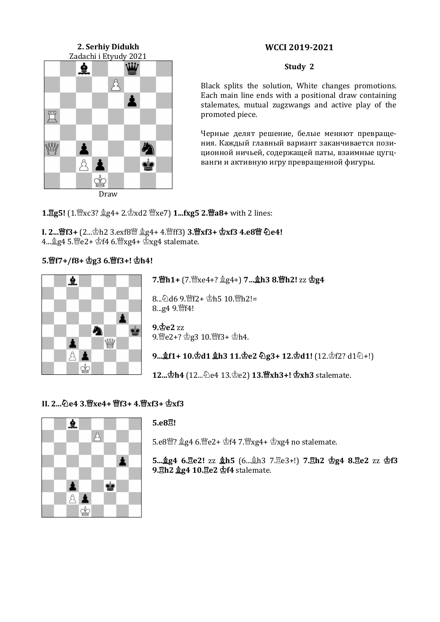# **2. Serhiy Didukh** Zadachi i Etyudy 2021 *نلنا* ₫  $\mathcal{B}_{\mathcal{A}}$ ł 買 ₩ ä ż. Å ¢ Draw

# **WCCI 2019-2021**

#### **Study 2**

Black splits the solution, White changes promotions. Each main line ends with a positional draw containing stalemates, mutual zugzwangs and active play of the promoted piece.

Черные делят решение, белые меняют превращения. Каждый главный вариант заканчивается позиционной ничьей, содержащей паты, взаимные цугцванги и активную игру превращенной фигуры.

**1. g5!** [1.  $\mathcal{L}$ xc3?  $\mathcal{L}$ g4+ 2.  $\mathcal{L}$ xd2  $\mathcal{L}$ xe7) **1...fxg5 2.**  $\mathcal{L}$ **a8+** with 2 lines:

**I. 2...曾f3+** (2... h2 3.exf8 曾 鱼g4+ 4.曾ff3) **3.曾xf3 + 杏xf3 4.e8曾 ඩe4!**  $4 \ldots \overset{\wedge}{\&} q4$  5. $\overset{\wedge}{\&}$ e2+ $\overset{\wedge}{\&}$ f4 6. $\overset{\wedge}{\&} xq4$ + $\overset{\wedge}{\&} xq4$  stalemate.

# **5.f7+/f8+ g3 6.f3+! h4!**



**7.h1+** (7.xe4+? g4+) **7…h3 8.h2!** zz **g4**

8...②d6 9.瞥f2+ 空h5 10. 瞥h2!= 8...g4 9. gf4!

**9.e2** zz  $9.$  $9.$  $9.$  $2 + ?$  $2g3 10.$  $9f3 + 2h4.$ 

**9...**  $f1 + 10.$ **空d1**  $f2 + 31.$ **空e2 ②g3+ 12.** $\Phi$ **d1!** (12. $\Phi$ f2? d1②+!)

**12... 空h4** (12... ①e4 13. 空e2) **13. 暨xh3+! 空xh3** stalemate.

# **II. 2...e4 3.xe4+ f3+ 4.xf3+ xf3**



#### **5.e8!**

 $5.68$ 曾?  $246.$ 曾 $e2+$   $2f4$  7.曾xg4+  $2xg4$  no stalemate.

**5...g4 6.e2!** zz **h5** (6...h3 7.e3+!) **7.h2 g4 8.e2** zz **f3 9.h2 g4 10.e2 f4** stalemate.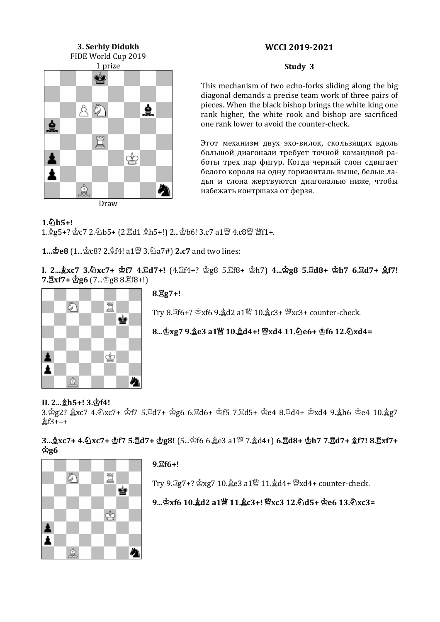# **3. Serhiy Didukh** FIDE World Cup 2019 1 prize ĊÒ  $85$ ₫  $\dot{9}$ 買 Å ♔ ż Å め Draw

#### **Study 3**

This mechanism of two echo-forks sliding along the big diagonal demands a precise team work of three pairs of pieces. When the black bishop brings the white king one rank higher, the white rook and bishop are sacrificed one rank lower to avoid the counter-check.

Этот механизм двух эхо-вилок, скользящих вдоль большой диагонали требует точной командной работы трех пар фигур. Когда черный слон сдвигает белого короля на одну горизонталь выше, белые ладья и слона жертвуются диагональю ниже, чтобы избежать контршаха от ферзя.

#### $1.6$ **b**5+!

1. g5+? 空c7 2. ①b5+ (2. gd1 gh5+!) 2... 空b6! 3.c7 a1 暨 4.c8暨 暨f1+.

**1... 空e8** (1... 空c8? 2. 工作! a1 ... 3. ② a7#) **2.c7** and two lines:

**I. 2...xc7 3.xc7+ f7 4.d7+!** (4.f4+? g8 5.f8+ h7) **4...g8 5.d8+ h7 6.d7+ f7! 7.** $\mathbb{E}$ **xf7+**  $\Phi$ **g6** (7... $\Phi$ g8 8. $\mathbb{E}$ f8+!)



**8.g7+!**

Try  $8.\overline{2}$ f6+?  $\Delta x$ f6  $9.\overline{2}$ d2 a1 $\mathbb{W}$  10. $\mathbb{R}$ c3+  $\mathbb{W}$ xc3+ counter-check.

**8...xg7 9.e3 a1 10.d4+! xd4 11.e6+ f6 12.xd4=**

# **II. 2...h5+! 3.f4!**

3.\$g2? \$xc7 4.\xc7+ \$f7 5.Ed7+ \$g6 6.Ed6+ \$f5 7.Ed5+ \$e4 8.Ed4+ \$xd4 9.\$h6 \$e4 10.\$g7 f3+–+

**3...xc7+ 4.xc7+ f7 5.d7+ g8!** (5...f6 6.e3 a1 7.d4+) **6.d8+ h7 7.d7+ f7! 8.xf7+**   $\Phi$ g6



# **9.f6+!**

Try 9. gz7+?  $\triangle$ xg7 10.  $e$ 8 a1曾 11.  $d$ d4+ 曾xd4+ counter-check.

**9...xf6 10.d2 a1 11.c3+! xc3 12.d5+ e6 13.xc3=**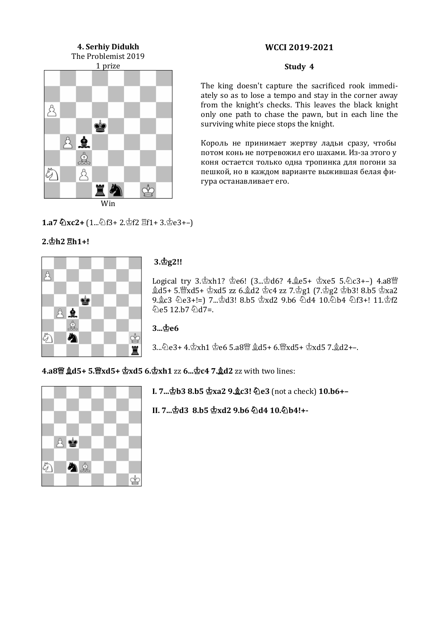# **4. Serhiy Didukh** The Problemist 2019 1 prize Å Ċ 82 Å € Å ♔ Win

#### **Study 4**

The king doesn't capture the sacrificed rook immediately so as to lose a tempo and stay in the corner away from the knight's checks. This leaves the black knight only one path to chase the pawn, but in each line the surviving white piece stops the knight.

Король не принимает жертву ладьи сразу, чтобы потом конь не потревожил его шахами. Из-за этого у коня остается только одна тропинка для погони за пешкой, но в каждом варианте выжившая белая фигура останавливает его.

**1.a7 ②xc2+**  $(1...\text{\textdegreeled{3}}f3+2.\text{\textdegreeled{2}}f2 \text{ }\text{\textcircled{2}}f1+3.\text{\textdegreeled{2}}e3+-)$ 

# **2.h2 h1+!**



# **3.g2!!**

Logical try  $3.\&xh1? \&e6!$  (3... $\&d6?$  4. $\&e5+ \&xe5$  5. $\&c3+-$ ) 4.a8 $\&y$  $2d5+5.$  $xd5+\dot{\text{2}}xd5$  zz  $6.\dot{2}d2 \text{ }$  $c4$  zz 7. $\dot{\text{2}}g1$  (7. $\dot{\text{2}}g2 \text{ }$  $\dot{\text{2}}b3!$  8. $b5 \text{ }$  $\dot{\text{2}}xa2$  $9.2c3$   $\&e3+!=$ ]  $7...2d3!$   $8.55$   $2xd2$   $9.56$   $\&d4$   $10.\&b4$   $\&f3+!$   $11.\&f2$  $\hat{\varphi}$ e5 12.b7 $\hat{\varphi}$ d7=.

**3...e6** 

3... 2e3+ 4. \$xh1 \$e6 5.a8 \$\$\$ \$d5+ 6. \$xd5+ \$xd5 7. \$d2+-.

**4.a8 d5+ 5.xd5+ xd5 6.xh1** zz **6...c4 7.d2** zz with two lines:



**I. 7...b3 8.b5 xa2 9.c3! e3** (not a check) **10.b6+–**

**II. 7...d3 8.b5 xd2 9.b6 d4 10.b4!+-**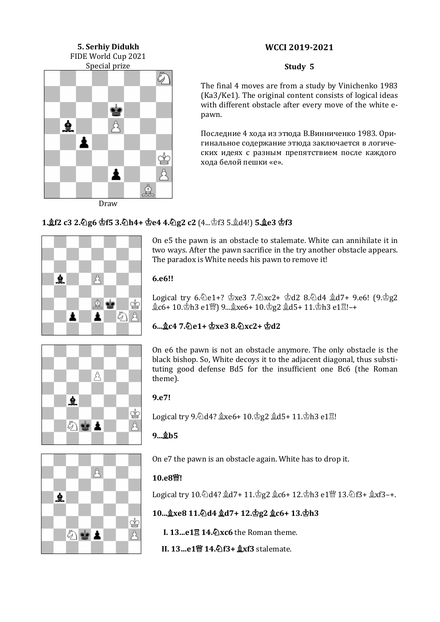# **5. Serhiy Didukh** FIDE World Cup 2021 Special prize E ė ₫ Å ≛ ▲ ₫ Draw

#### **Study 5**

The final 4 moves are from a study by Vinichenko 1983 (Ka3/Ke1). The original content consists of logical ideas with different obstacle after every move of the white epawn.

Последние 4 хода из этюда В.Винниченко 1983. Оригинальное содержание этюда заключается в логических идеях с разным препятствием после каждого хода белой пешки «е».

# **1.f2 c3 2.g6 f5 3.h4+ e4 4.g2 c2** (4...f3 5.d4!) **5.e3 f3**



On e5 the pawn is an obstacle to stalemate. White can annihilate it in two ways. After the pawn sacrifice in the try another obstacle appears. The paradox is White needs his pawn to remove it!

#### **6.e6!!**

Logical try  $6.\text{\textdegree}$ e1+?  $\text{\textdegree}$ xe3 7. $\text{\textdegree}$ xc2+  $\text{\textdegree}$ d2 8. $\text{\textdegree}$ d4  $\text{\textdegree}$ d7+ 9.e6!  $(9.\text{\textdegree}$ g2  $2c6+10.$ \$h3 e1\pigq 9... $2xc6+10.$ \$g2  $2d5+11.$ \$h3 e1 $\mathbb{Z}!$ -+



# **6...c4 7.e1+ xe3 8.xc2+ d2**

On e6 the pawn is not an obstacle anymore. The only obstacle is the black bishop. So, White decoys it to the adjacent diagonal, thus substituting good defense Bd5 for the insufficient one Bc6 (the Roman theme).

#### **9.e7!**

Logical try  $9.\overline{2}$ d4?  $\&$ xe6+ 10. $\&$ g2  $\&$ d5+ 11. $\&$ h3 e1 $\Xi$ !

# **9...b5**



On e7 the pawn is an obstacle again. White has to drop it.

# **10.e8!**

Logical try 10. d4? gd7+ 11. g2 gc6+ 12. h3 e1 曾 13. h3+ gxf3-+.

# **10...xe8 11.d4 d7+ 12.g2 c6+ 13.h3**

**I. 13...e1 14.xc6** the Roman theme.

**II. 13…e1 14.f3+ xf3** stalemate.